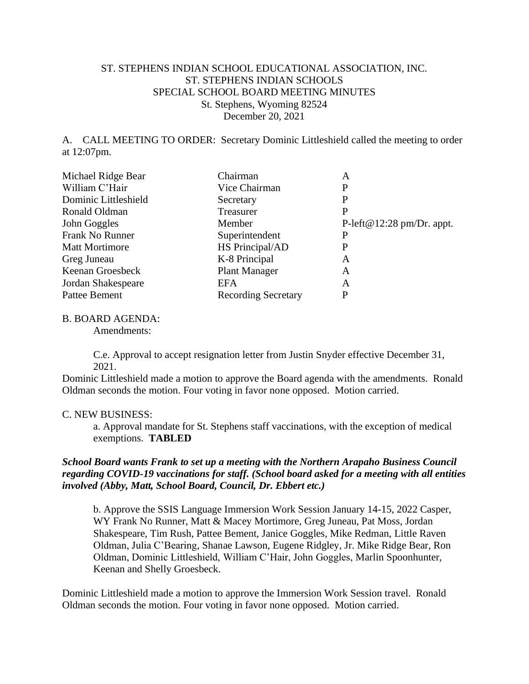## ST. STEPHENS INDIAN SCHOOL EDUCATIONAL ASSOCIATION, INC. ST. STEPHENS INDIAN SCHOOLS SPECIAL SCHOOL BOARD MEETING MINUTES St. Stephens, Wyoming 82524 December 20, 2021

A. CALL MEETING TO ORDER: Secretary Dominic Littleshield called the meeting to order at 12:07pm.

| Chairman                   | Α                         |
|----------------------------|---------------------------|
| Vice Chairman              | P                         |
| Secretary                  | P                         |
| Treasurer                  | P                         |
| Member                     | P-left@12:28 pm/Dr. appt. |
| Superintendent             | Р                         |
| HS Principal/AD            | P                         |
| K-8 Principal              | Α                         |
| <b>Plant Manager</b>       | A                         |
| EFA                        | Α                         |
| <b>Recording Secretary</b> | P                         |
|                            |                           |

## B. BOARD AGENDA:

Amendments:

C.e. Approval to accept resignation letter from Justin Snyder effective December 31, 2021.

Dominic Littleshield made a motion to approve the Board agenda with the amendments. Ronald Oldman seconds the motion. Four voting in favor none opposed. Motion carried.

## C. NEW BUSINESS:

a. Approval mandate for St. Stephens staff vaccinations, with the exception of medical exemptions. **TABLED**

## *School Board wants Frank to set up a meeting with the Northern Arapaho Business Council regarding COVID-19 vaccinations for staff. (School board asked for a meeting with all entities involved (Abby, Matt, School Board, Council, Dr. Ebbert etc.)*

b. Approve the SSIS Language Immersion Work Session January 14-15, 2022 Casper, WY Frank No Runner, Matt & Macey Mortimore, Greg Juneau, Pat Moss, Jordan Shakespeare, Tim Rush, Pattee Bement, Janice Goggles, Mike Redman, Little Raven Oldman, Julia C'Bearing, Shanae Lawson, Eugene Ridgley, Jr. Mike Ridge Bear, Ron Oldman, Dominic Littleshield, William C'Hair, John Goggles, Marlin Spoonhunter, Keenan and Shelly Groesbeck.

Dominic Littleshield made a motion to approve the Immersion Work Session travel. Ronald Oldman seconds the motion. Four voting in favor none opposed. Motion carried.